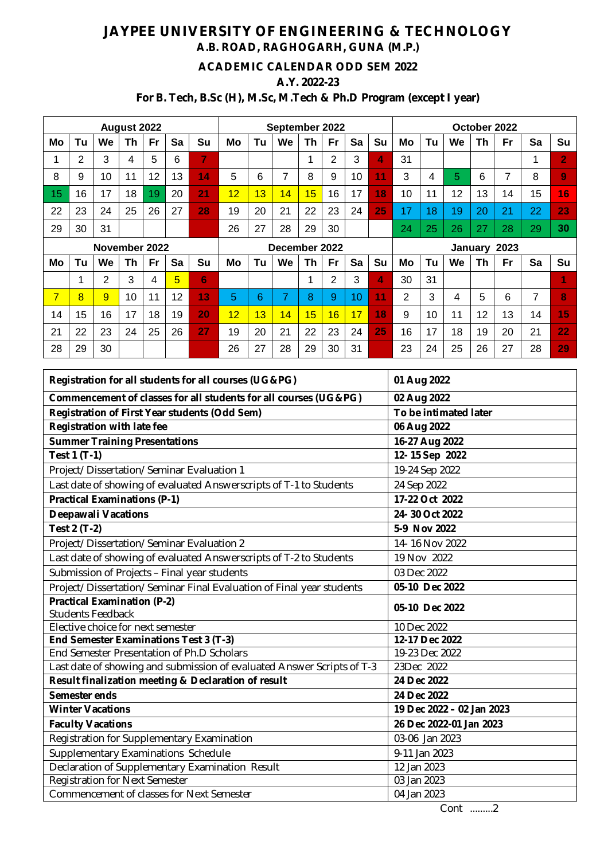# **JAYPEE UNIVERSITY OF ENGINEERING & TECHNOLOGY A.B. ROAD, RAGHOGARH, GUNA (M.P.)**

### **ACADEMIC CALENDAR ODD SEM 2022**

#### **A.Y. 2022-23**

## **For B. Tech, B.Sc (H), M.Sc, M.Tech & Ph.D Program (except I year)**

| August 2022 |    |                |    |    | September 2022  |    |    |    |               |    | October 2022 |    |    |    |    |    |    |              |    |                |
|-------------|----|----------------|----|----|-----------------|----|----|----|---------------|----|--------------|----|----|----|----|----|----|--------------|----|----------------|
| Mo          | Tu | <b>We</b>      | Th | Fr | Sa              | Su | Mo | Tu | We            | Th | <b>Fr</b>    | Sa | Su | Mo | Tu | We | Th | Fr           | Sa | Su             |
|             | 2  | 3              | 4  | 5  | 6               | 7  |    |    |               |    | 2            | 3  | 4  | 31 |    |    |    |              | 1  | 2              |
| 8           | 9  | 10             | 11 | 12 | 13              | 14 | 5  | 6  | 7             | 8  | 9            | 10 | 11 | 3  | 4  | 5  | 6  |              | 8  | $\overline{9}$ |
| 15          | 16 | 17             | 18 | 19 | 20              | 21 | 12 | 13 | 14            | 15 | 16           | 17 | 18 | 10 | 11 | 12 | 13 | 14           | 15 | 16             |
| 22          | 23 | 24             | 25 | 26 | 27              | 28 | 19 | 20 | 21            | 22 | 23           | 24 | 25 | 17 | 18 | 19 | 20 | 21           | 22 | 23             |
| 29          | 30 | 31             |    |    |                 |    | 26 | 27 | 28            | 29 | 30           |    |    | 24 | 25 | 26 | 27 | 28           | 29 | 30             |
|             |    |                |    |    |                 |    |    |    |               |    |              |    |    |    |    |    |    |              |    |                |
|             |    | November 2022  |    |    |                 |    |    |    | December 2022 |    |              |    |    |    |    |    |    | January 2023 |    |                |
| Mo          | Tu | <b>We</b>      | Th | Fr | Sa              | Su | Mo | Tu | We            | Th | Fr           | Sa | Su | Mo | Tu | We | Th | Fr           | Sa | Su             |
|             |    | $\overline{2}$ | 3  | 4  | $5\overline{)}$ | 6  |    |    |               | ◢  | 2            | 3  | 4  | 30 | 31 |    |    |              |    | 4              |
| 7           | 8  | 9              | 10 | 11 | 12              | 13 | 5  | 6  | 7             | 8  | 9            | 10 | 11 | 2  | 3  | 4  | 5  | 6            | 7  | 8              |
| 14          | 15 | 16             | 17 | 18 | 19              | 20 | 12 | 13 | 14            | 15 | 16           | 17 | 18 | 9  | 10 | 11 | 12 | 13           | 14 | 15             |
| 21          | 22 | 23             | 24 | 25 | 26              | 27 | 19 | 20 | 21            | 22 | 23           | 24 | 25 | 16 | 17 | 18 | 19 | 20           | 21 | 22             |

| Registration for all students for all courses (UG&PG)                  | 01 Aug 2022               |  |  |  |
|------------------------------------------------------------------------|---------------------------|--|--|--|
| Commencement of classes for all students for all courses (UG&PG)       | 02 Aug 2022               |  |  |  |
| <b>Registration of First Year students (Odd Sem)</b>                   | To be intimated later     |  |  |  |
| <b>Registration with late fee</b>                                      | 06 Aug 2022               |  |  |  |
| <b>Summer Training Presentations</b>                                   | 16-27 Aug 2022            |  |  |  |
| Test 1 (T-1)                                                           | 12-15 Sep 2022            |  |  |  |
| Project/Dissertation/Seminar Evaluation 1                              | 19-24 Sep 2022            |  |  |  |
| Last date of showing of evaluated Answerscripts of T-1 to Students     | 24 Sep 2022               |  |  |  |
| <b>Practical Examinations (P-1)</b>                                    | 17-22 Oct 2022            |  |  |  |
| <b>Deepawali Vacations</b>                                             | 24-30 Oct 2022            |  |  |  |
| Test 2 (T-2)                                                           | 5-9 Nov 2022              |  |  |  |
| Project/Dissertation/Seminar Evaluation 2                              | 14-16 Nov 2022            |  |  |  |
| Last date of showing of evaluated Answerscripts of T-2 to Students     | 19 Nov 2022               |  |  |  |
| Submission of Projects - Final year students                           | 03 Dec 2022               |  |  |  |
| Project/Dissertation/Seminar Final Evaluation of Final year students   | 05-10 Dec 2022            |  |  |  |
| <b>Practical Examination (P-2)</b>                                     | 05-10 Dec 2022            |  |  |  |
| <b>Students Feedback</b>                                               |                           |  |  |  |
| Elective choice for next semester                                      | 10 Dec 2022               |  |  |  |
| End Semester Examinations Test 3 (T-3)                                 | 12-17 Dec 2022            |  |  |  |
| End Semester Presentation of Ph.D Scholars                             | 19-23 Dec 2022            |  |  |  |
| Last date of showing and submission of evaluated Answer Scripts of T-3 | 23Dec 2022                |  |  |  |
| Result finalization meeting & Declaration of result                    | 24 Dec 2022               |  |  |  |
| Semester ends                                                          | 24 Dec 2022               |  |  |  |
| <b>Winter Vacations</b>                                                | 19 Dec 2022 - 02 Jan 2023 |  |  |  |
| <b>Faculty Vacations</b>                                               | 26 Dec 2022-01 Jan 2023   |  |  |  |
| Registration for Supplementary Examination                             | 03-06 Jan 2023            |  |  |  |
| Supplementary Examinations Schedule                                    | 9-11 Jan 2023             |  |  |  |
| Declaration of Supplementary Examination Result                        | 12 Jan 2023               |  |  |  |
| <b>Registration for Next Semester</b>                                  | 03 Jan 2023               |  |  |  |
| Commencement of classes for Next Semester                              | 04 Jan 2023               |  |  |  |